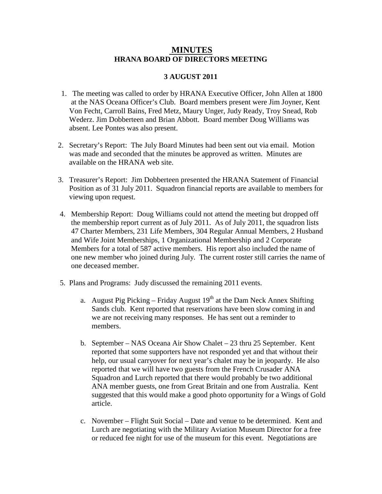## **MINUTES HRANA BOARD OF DIRECTORS MEETING**

## **3 AUGUST 2011**

- 1. The meeting was called to order by HRANA Executive Officer, John Allen at 1800 at the NAS Oceana Officer's Club. Board members present were Jim Joyner, Kent Von Fecht, Carroll Bains, Fred Metz, Maury Unger, Judy Ready, Troy Snead, Rob Wederz. Jim Dobberteen and Brian Abbott. Board member Doug Williams was absent. Lee Pontes was also present.
- 2. Secretary's Report: The July Board Minutes had been sent out via email. Motion was made and seconded that the minutes be approved as written. Minutes are available on the HRANA web site.
- 3. Treasurer's Report: Jim Dobberteen presented the HRANA Statement of Financial Position as of 31 July 2011. Squadron financial reports are available to members for viewing upon request.
- 4. Membership Report: Doug Williams could not attend the meeting but dropped off the membership report current as of July 2011. As of July 2011, the squadron lists 47 Charter Members, 231 Life Members, 304 Regular Annual Members, 2 Husband and Wife Joint Memberships, 1 Organizational Membership and 2 Corporate Members for a total of 587 active members. His report also included the name of one new member who joined during July. The current roster still carries the name of one deceased member.
- 5. Plans and Programs: Judy discussed the remaining 2011 events.
	- a. August Pig Picking Friday August  $19<sup>th</sup>$  at the Dam Neck Annex Shifting Sands club. Kent reported that reservations have been slow coming in and we are not receiving many responses. He has sent out a reminder to members.
	- b. September NAS Oceana Air Show Chalet 23 thru 25 September. Kent reported that some supporters have not responded yet and that without their help, our usual carryover for next year's chalet may be in jeopardy. He also reported that we will have two guests from the French Crusader ANA Squadron and Lurch reported that there would probably be two additional ANA member guests, one from Great Britain and one from Australia. Kent suggested that this would make a good photo opportunity for a Wings of Gold article.
	- c. November Flight Suit Social Date and venue to be determined. Kent and Lurch are negotiating with the Military Aviation Museum Director for a free or reduced fee night for use of the museum for this event. Negotiations are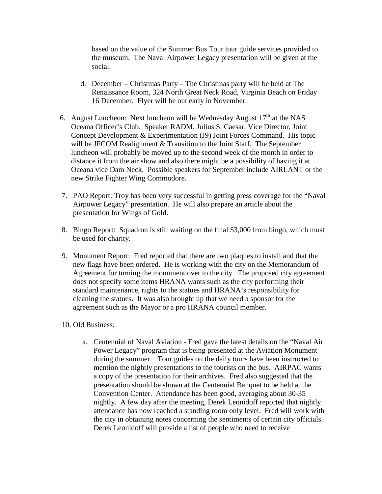based on the value of the Summer Bus Tour tour guide services provided to the museum. The Naval Airpower Legacy presentation will be given at the social.

- d. December Christmas Party The Christmas party will be held at The Renaissance Room, 324 North Great Neck Road, Virginia Beach on Friday 16 December. Flyer will be out early in November.
- 6. August Luncheon: Next luncheon will be Wednesday August  $17<sup>th</sup>$  at the NAS Oceana Officer's Club. Speaker RADM. Julius S. Caesar, Vice Director, Joint Concept Development & Experimentation (J9) Joint Forces Command. His topic will be JFCOM Realignment & Transition to the Joint Staff. The September luncheon will probably be moved up to the second week of the month in order to distance it from the air show and also there might be a possibility of having it at Oceana vice Dam Neck. Possible speakers for September include AIRLANT or the new Strike Fighter Wing Commodore.
- 7. PAO Report: Troy has been very successful in getting press coverage for the "Naval Airpower Legacy" presentation. He will also prepare an article about the presentation for Wings of Gold.
- 8. Bingo Report: Squadron is still waiting on the final \$3,000 from bingo, which must be used for charity.
- 9. Monument Report: Fred reported that there are two plaques to install and that the new flags have been ordered. He is working with the city on the Memorandum of Agreement for turning the monument over to the city. The proposed city agreement does not specify some items HRANA wants such as the city performing their standard maintenance, rights to the statues and HRANA's responsibility for cleaning the statues. It was also brought up that we need a sponsor for the agreement such as the Mayor or a pro HRANA council member.
- 10. Old Business:
	- a. Centennial of Naval Aviation Fred gave the latest details on the "Naval Air Power Legacy" program that is being presented at the Aviation Monument during the summer. Tour guides on the daily tours have been instructed to mention the nightly presentations to the tourists on the bus. AIRPAC wants a copy of the presentation for their archives. Fred also suggested that the presentation should be shown at the Centennial Banquet to be held at the Convention Center. Attendance has been good, averaging about 30-35 nightly. A few day after the meeting, Derek Leonidoff reported that nightly attendance has now reached a standing room only level. Fred will work with the city in obtaining notes concerning the sentiments of certain city officials. Derek Leonidoff will provide a list of people who need to receive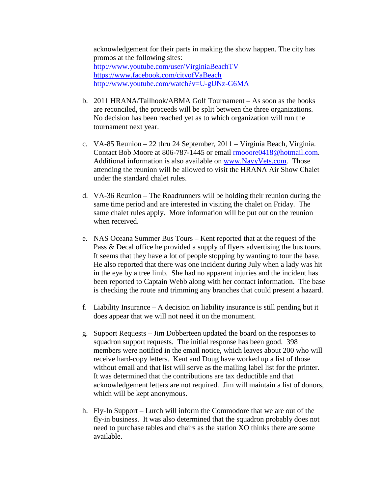acknowledgement for their parts in making the show happen. The city has promos at the following sites: <http://www.youtube.com/user/VirginiaBeachTV> <https://www.facebook.com/cityofVaBeach> <http://www.youtube.com/watch?v=U-gUNz-G6MA>

- b. 2011 HRANA/Tailhook/ABMA Golf Tournament As soon as the books are reconciled, the proceeds will be split between the three organizations. No decision has been reached yet as to which organization will run the tournament next year.
- c. VA-85 Reunion 22 thru 24 September, 2011 Virginia Beach, Virginia. Contact Bob Moore at 806-787-1445 or email [rmooore0418@hotmail.com.](mailto:rmooore0418@hotmail.com) Additional information is also available on [www.NavyVets.com.](http://www.navyvets.com/) Those attending the reunion will be allowed to visit the HRANA Air Show Chalet under the standard chalet rules.
- d. VA-36 Reunion The Roadrunners will be holding their reunion during the same time period and are interested in visiting the chalet on Friday. The same chalet rules apply. More information will be put out on the reunion when received.
- e. NAS Oceana Summer Bus Tours Kent reported that at the request of the Pass & Decal office he provided a supply of flyers advertising the bus tours. It seems that they have a lot of people stopping by wanting to tour the base. He also reported that there was one incident during July when a lady was hit in the eye by a tree limb. She had no apparent injuries and the incident has been reported to Captain Webb along with her contact information. The base is checking the route and trimming any branches that could present a hazard.
- f. Liability Insurance A decision on liability insurance is still pending but it does appear that we will not need it on the monument.
- g. Support Requests Jim Dobberteen updated the board on the responses to squadron support requests. The initial response has been good. 398 members were notified in the email notice, which leaves about 200 who will receive hard-copy letters. Kent and Doug have worked up a list of those without email and that list will serve as the mailing label list for the printer. It was determined that the contributions are tax deductible and that acknowledgement letters are not required. Jim will maintain a list of donors, which will be kept anonymous.
- h. Fly-In Support Lurch will inform the Commodore that we are out of the fly-in business. It was also determined that the squadron probably does not need to purchase tables and chairs as the station XO thinks there are some available.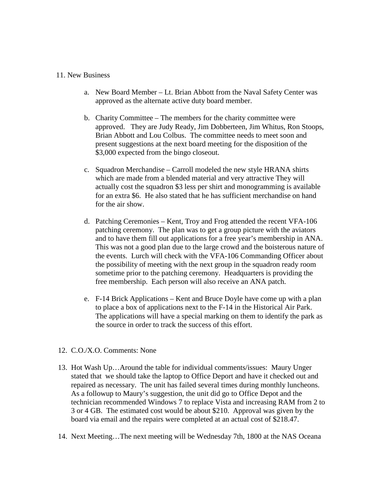## 11. New Business

- a. New Board Member Lt. Brian Abbott from the Naval Safety Center was approved as the alternate active duty board member.
- b. Charity Committee The members for the charity committee were approved. They are Judy Ready, Jim Dobberteen, Jim Whitus, Ron Stoops, Brian Abbott and Lou Colbus. The committee needs to meet soon and present suggestions at the next board meeting for the disposition of the \$3,000 expected from the bingo closeout.
- c. Squadron Merchandise Carroll modeled the new style HRANA shirts which are made from a blended material and very attractive They will actually cost the squadron \$3 less per shirt and monogramming is available for an extra \$6. He also stated that he has sufficient merchandise on hand for the air show.
- d. Patching Ceremonies Kent, Troy and Frog attended the recent VFA-106 patching ceremony. The plan was to get a group picture with the aviators and to have them fill out applications for a free year's membership in ANA. This was not a good plan due to the large crowd and the boisterous nature of the events. Lurch will check with the VFA-106 Commanding Officer about the possibility of meeting with the next group in the squadron ready room sometime prior to the patching ceremony. Headquarters is providing the free membership. Each person will also receive an ANA patch.
- e. F-14 Brick Applications Kent and Bruce Doyle have come up with a plan to place a box of applications next to the F-14 in the Historical Air Park. The applications will have a special marking on them to identify the park as the source in order to track the success of this effort.
- 12. C.O./X.O. Comments: None
- 13. Hot Wash Up…Around the table for individual comments/issues: Maury Unger stated that we should take the laptop to Office Deport and have it checked out and repaired as necessary. The unit has failed several times during monthly luncheons. As a followup to Maury's suggestion, the unit did go to Office Depot and the technician recommended Windows 7 to replace Vista and increasing RAM from 2 to 3 or 4 GB. The estimated cost would be about \$210. Approval was given by the board via email and the repairs were completed at an actual cost of \$218.47.
- 14. Next Meeting…The next meeting will be Wednesday 7th, 1800 at the NAS Oceana